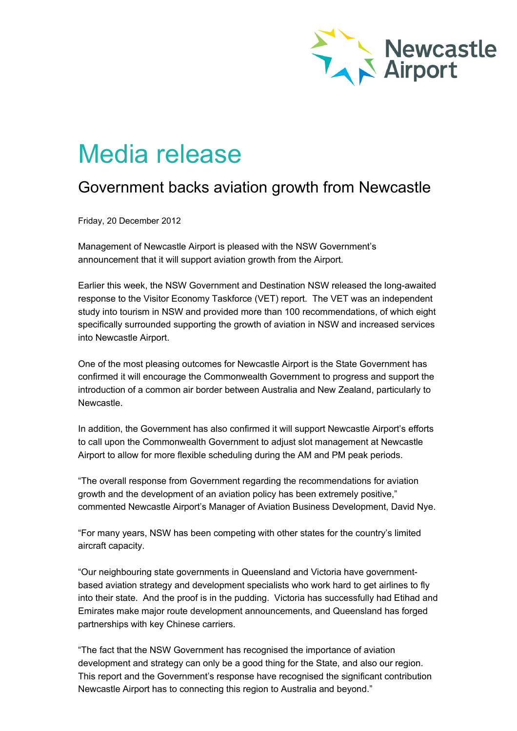

## Media release

## Government backs aviation growth from Newcastle

Friday, 20 December 2012

Management of Newcastle Airport is pleased with the NSW Government's announcement that it will support aviation growth from the Airport.

Earlier this week, the NSW Government and Destination NSW released the long-awaited response to the Visitor Economy Taskforce (VET) report. The VET was an independent study into tourism in NSW and provided more than 100 recommendations, of which eight specifically surrounded supporting the growth of aviation in NSW and increased services into Newcastle Airport.

One of the most pleasing outcomes for Newcastle Airport is the State Government has confirmed it will encourage the Commonwealth Government to progress and support the introduction of a common air border between Australia and New Zealand, particularly to Newcastle.

In addition, the Government has also confirmed it will support Newcastle Airport's efforts to call upon the Commonwealth Government to adjust slot management at Newcastle Airport to allow for more flexible scheduling during the AM and PM peak periods.

"The overall response from Government regarding the recommendations for aviation growth and the development of an aviation policy has been extremely positive," commented Newcastle Airport's Manager of Aviation Business Development, David Nye.

"For many years, NSW has been competing with other states for the country's limited aircraft capacity.

"Our neighbouring state governments in Queensland and Victoria have governmentbased aviation strategy and development specialists who work hard to get airlines to fly into their state. And the proof is in the pudding. Victoria has successfully had Etihad and Emirates make major route development announcements, and Queensland has forged partnerships with key Chinese carriers.

"The fact that the NSW Government has recognised the importance of aviation development and strategy can only be a good thing for the State, and also our region. This report and the Government's response have recognised the significant contribution Newcastle Airport has to connecting this region to Australia and beyond."